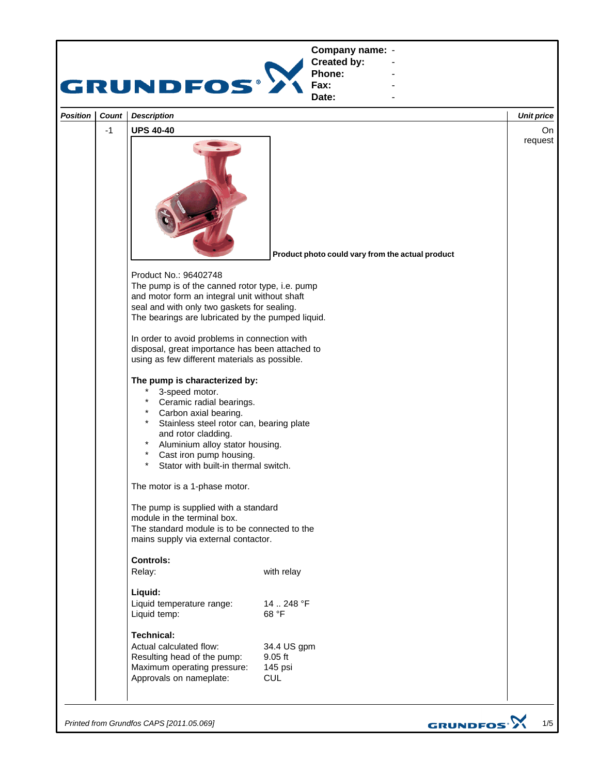

*Printed from Grundfos CAPS [2011.05.069]*

GRUNDFOS<sup>.</sup>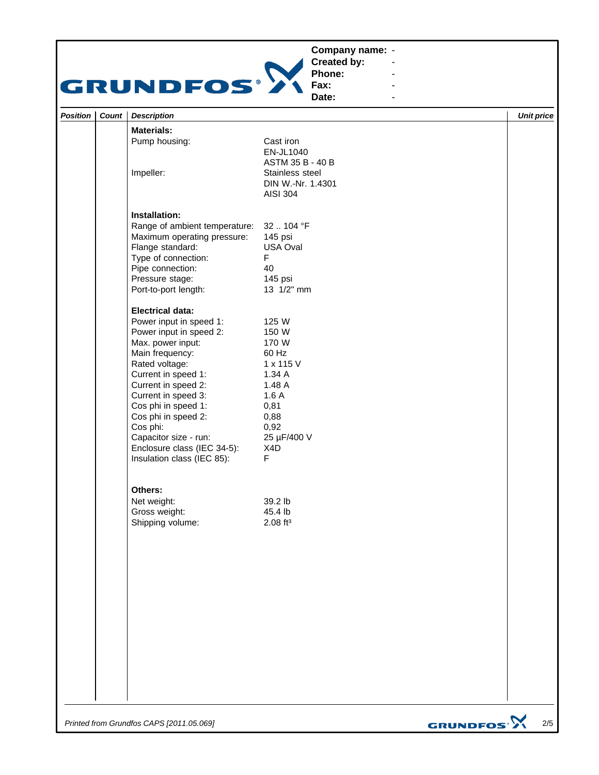## **Company name: -** Construction of the construction

## GRUNDFOS<sup>®</sup>

**Created by: Phone: Fax:**

**Date: -** Andrea Maria Maria Maria Maria **-** Construction of the construction

**-** Andrea Maria Maria Maria Maria **-** Andrea Maria Maria Maria Maria

| <b>Materials:</b><br>Pump housing:<br>Cast iron<br>EN-JL1040<br>ASTM 35 B - 40 B<br>Impeller:<br>Stainless steel<br>DIN W.-Nr. 1.4301<br><b>AISI 304</b><br>Installation:<br>Range of ambient temperature: 32  104 °F<br>Maximum operating pressure:<br>145 psi<br>Flange standard:<br>USA Oval<br>$\mathsf F$<br>Type of connection:<br>Pipe connection:<br>40<br>Pressure stage:<br>145 psi<br>13 1/2" mm<br>Port-to-port length:<br><b>Electrical data:</b><br>Power input in speed 1:<br>125 W<br>Power input in speed 2:<br>150 W<br>Max. power input:<br>170 W<br>Main frequency:<br>60 Hz<br>Rated voltage:<br>1 x 115 V<br>Current in speed 1:<br>1.34A<br>Current in speed 2:<br>1.48 A<br>Current in speed 3:<br>1.6A<br>Cos phi in speed 1:<br>0,81<br>Cos phi in speed 2:<br>0,88<br>Cos phi:<br>0,92<br>Capacitor size - run:<br>25 µF/400 V<br>Enclosure class (IEC 34-5):<br>X4D<br>$\mathsf F$<br>Insulation class (IEC 85):<br>Others:<br>39.2 lb<br>Net weight:<br>Gross weight:<br>45.4 lb<br>Shipping volume:<br>$2.08$ ft <sup>3</sup> | Position   Count | <b>Description</b> |  | <b>Unit price</b> |
|-------------------------------------------------------------------------------------------------------------------------------------------------------------------------------------------------------------------------------------------------------------------------------------------------------------------------------------------------------------------------------------------------------------------------------------------------------------------------------------------------------------------------------------------------------------------------------------------------------------------------------------------------------------------------------------------------------------------------------------------------------------------------------------------------------------------------------------------------------------------------------------------------------------------------------------------------------------------------------------------------------------------------------------------------------------|------------------|--------------------|--|-------------------|
|                                                                                                                                                                                                                                                                                                                                                                                                                                                                                                                                                                                                                                                                                                                                                                                                                                                                                                                                                                                                                                                             |                  |                    |  |                   |
|                                                                                                                                                                                                                                                                                                                                                                                                                                                                                                                                                                                                                                                                                                                                                                                                                                                                                                                                                                                                                                                             |                  |                    |  |                   |
|                                                                                                                                                                                                                                                                                                                                                                                                                                                                                                                                                                                                                                                                                                                                                                                                                                                                                                                                                                                                                                                             |                  |                    |  |                   |
|                                                                                                                                                                                                                                                                                                                                                                                                                                                                                                                                                                                                                                                                                                                                                                                                                                                                                                                                                                                                                                                             |                  |                    |  |                   |
|                                                                                                                                                                                                                                                                                                                                                                                                                                                                                                                                                                                                                                                                                                                                                                                                                                                                                                                                                                                                                                                             |                  |                    |  |                   |
|                                                                                                                                                                                                                                                                                                                                                                                                                                                                                                                                                                                                                                                                                                                                                                                                                                                                                                                                                                                                                                                             |                  |                    |  |                   |
|                                                                                                                                                                                                                                                                                                                                                                                                                                                                                                                                                                                                                                                                                                                                                                                                                                                                                                                                                                                                                                                             |                  |                    |  |                   |
|                                                                                                                                                                                                                                                                                                                                                                                                                                                                                                                                                                                                                                                                                                                                                                                                                                                                                                                                                                                                                                                             |                  |                    |  |                   |
|                                                                                                                                                                                                                                                                                                                                                                                                                                                                                                                                                                                                                                                                                                                                                                                                                                                                                                                                                                                                                                                             |                  |                    |  |                   |
|                                                                                                                                                                                                                                                                                                                                                                                                                                                                                                                                                                                                                                                                                                                                                                                                                                                                                                                                                                                                                                                             |                  |                    |  | $\sim$            |

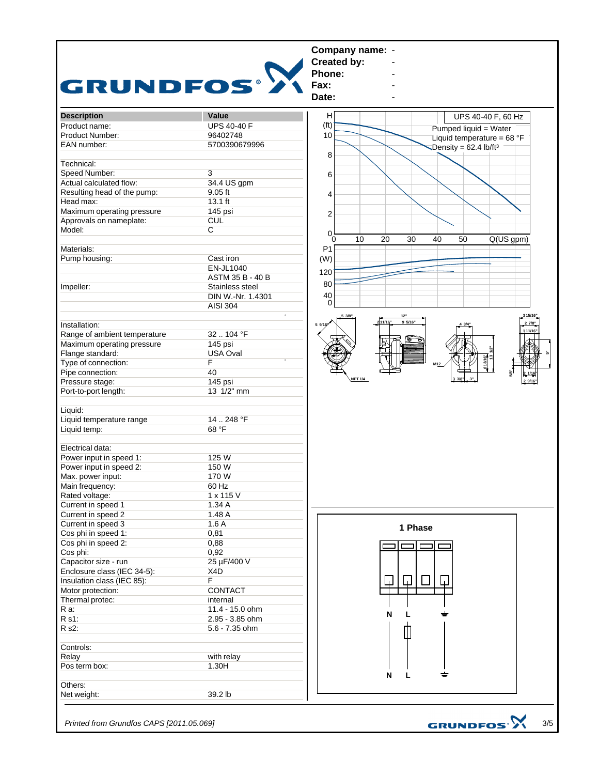

*Printed from Grundfos CAPS [2011.05.069]*

3/5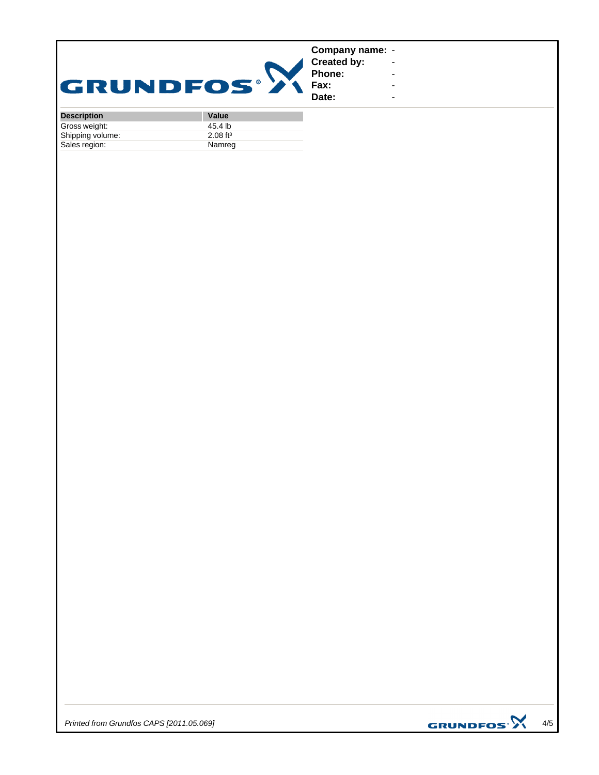| GRUNDFOS®          |       | Company name: -<br><b>Created by:</b><br>Phone:<br>Fax:<br>Date: | ٠<br>۰.<br>۰<br>۰. |
|--------------------|-------|------------------------------------------------------------------|--------------------|
| <b>Description</b> | Value |                                                                  |                    |

| <b>Description</b> | value                  |
|--------------------|------------------------|
| Gross weight:      | 45.4 lb                |
| Shipping volume:   | $2.08$ ft <sup>3</sup> |
| Sales region:      | Namreg                 |

*Printed from Grundfos CAPS [2011.05.069]*